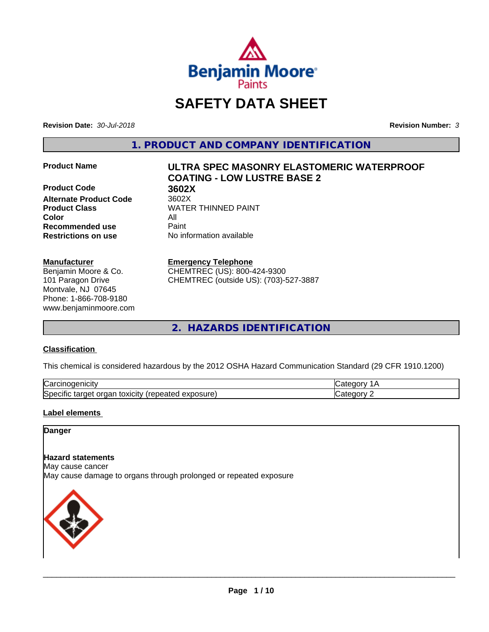

# **SAFETY DATA SHEET**

**Revision Date:** *30-Jul-2018* **Revision Number:** *3*

**1. PRODUCT AND COMPANY IDENTIFICATION**

**Product Code 3602X**<br> **Alternate Product Code** 3602X **Alternate Product Code Color** All **Recommended use** Paint **Restrictions on use** No information available

#### **Manufacturer**

Benjamin Moore & Co. 101 Paragon Drive Montvale, NJ 07645 Phone: 1-866-708-9180 www.benjaminmoore.com

# **Product Name ULTRA SPEC MASONRY ELASTOMERIC WATERPROOF COATING - LOW LUSTRE BASE 2**

**Product Class WATER THINNED PAINT** 

### **Emergency Telephone**

CHEMTREC (US): 800-424-9300 CHEMTREC (outside US): (703)-527-3887

**2. HAZARDS IDENTIFICATION**

# **Classification**

This chemical is considered hazardous by the 2012 OSHA Hazard Communication Standard (29 CFR 1910.1200)

| ∽<br>.<br>∴ar س<br>'HCIT                                                                        | -- - -- |
|-------------------------------------------------------------------------------------------------|---------|
| วosure<br>. .<br>- - -<br>orgar<br>toxicity<br>$\sim$<br>50e<br>arget a<br>эн<br>Galty.<br>50.U | ----    |

# **Label elements**

# **Danger**

#### **Hazard statements**

May cause cancer

May cause damage to organs through prolonged or repeated exposure

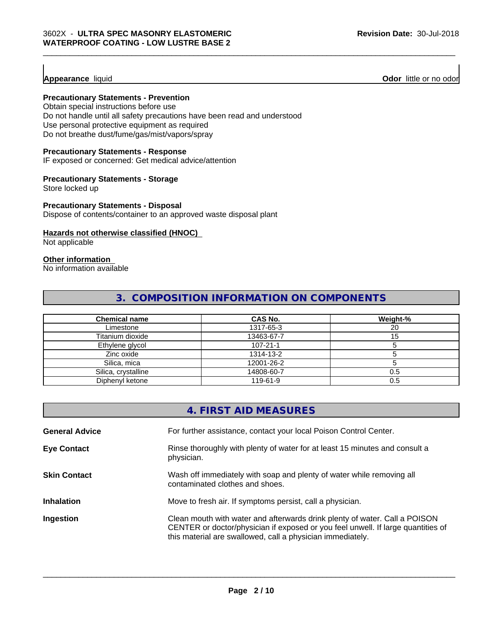**Appearance** liquid **Odor 11** Odor little or no odor

# **Precautionary Statements - Prevention**

Obtain special instructions before use Do not handle until all safety precautions have been read and understood Use personal protective equipment as required Do not breathe dust/fume/gas/mist/vapors/spray

#### **Precautionary Statements - Response**

IF exposed or concerned: Get medical advice/attention

#### **Precautionary Statements - Storage**

Store locked up

#### **Precautionary Statements - Disposal**

Dispose of contents/container to an approved waste disposal plant

# **Hazards not otherwise classified (HNOC)**

Not applicable

# **Other information**

No information available

# **3. COMPOSITION INFORMATION ON COMPONENTS**

| <b>Chemical name</b> | CAS No.    | Weight-% |
|----------------------|------------|----------|
| Limestone            | 1317-65-3  | 20       |
| Titanium dioxide     | 13463-67-7 |          |
| Ethylene glycol      | 107-21-1   |          |
| Zinc oxide           | 1314-13-2  |          |
| Silica, mica         | 12001-26-2 |          |
| Silica, crystalline  | 14808-60-7 | 0.5      |
| Diphenyl ketone      | 119-61-9   | 0.5      |

|                       | 4. FIRST AID MEASURES                                                                                                                                                                                                        |
|-----------------------|------------------------------------------------------------------------------------------------------------------------------------------------------------------------------------------------------------------------------|
| <b>General Advice</b> | For further assistance, contact your local Poison Control Center.                                                                                                                                                            |
| <b>Eye Contact</b>    | Rinse thoroughly with plenty of water for at least 15 minutes and consult a<br>physician.                                                                                                                                    |
| <b>Skin Contact</b>   | Wash off immediately with soap and plenty of water while removing all<br>contaminated clothes and shoes.                                                                                                                     |
| <b>Inhalation</b>     | Move to fresh air. If symptoms persist, call a physician.                                                                                                                                                                    |
| Ingestion             | Clean mouth with water and afterwards drink plenty of water. Call a POISON<br>CENTER or doctor/physician if exposed or you feel unwell. If large quantities of<br>this material are swallowed, call a physician immediately. |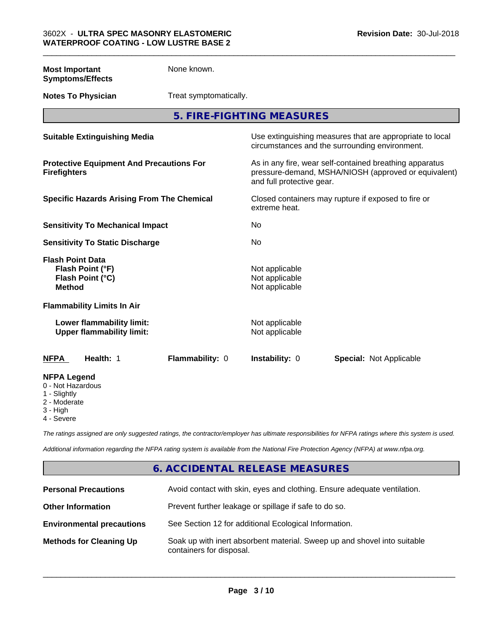| <b>Most Important</b><br><b>Symptoms/Effects</b>                                 | None known.            |                                                    |                                                                                                                 |
|----------------------------------------------------------------------------------|------------------------|----------------------------------------------------|-----------------------------------------------------------------------------------------------------------------|
| <b>Notes To Physician</b>                                                        | Treat symptomatically. |                                                    |                                                                                                                 |
|                                                                                  |                        | 5. FIRE-FIGHTING MEASURES                          |                                                                                                                 |
| <b>Suitable Extinguishing Media</b>                                              |                        |                                                    | Use extinguishing measures that are appropriate to local<br>circumstances and the surrounding environment.      |
| <b>Protective Equipment And Precautions For</b><br><b>Firefighters</b>           |                        | and full protective gear.                          | As in any fire, wear self-contained breathing apparatus<br>pressure-demand, MSHA/NIOSH (approved or equivalent) |
| <b>Specific Hazards Arising From The Chemical</b>                                |                        | extreme heat.                                      | Closed containers may rupture if exposed to fire or                                                             |
| <b>Sensitivity To Mechanical Impact</b>                                          |                        | No.                                                |                                                                                                                 |
| <b>Sensitivity To Static Discharge</b>                                           |                        | No                                                 |                                                                                                                 |
| <b>Flash Point Data</b><br>Flash Point (°F)<br>Flash Point (°C)<br><b>Method</b> |                        | Not applicable<br>Not applicable<br>Not applicable |                                                                                                                 |
| <b>Flammability Limits In Air</b>                                                |                        |                                                    |                                                                                                                 |
| Lower flammability limit:<br><b>Upper flammability limit:</b>                    |                        | Not applicable<br>Not applicable                   |                                                                                                                 |
| Health: 1<br><b>NFPA</b>                                                         | Flammability: 0        | Instability: 0                                     | <b>Special: Not Applicable</b>                                                                                  |
| <b>NFPA Legend</b><br>0 - Not Hazardous<br>1 - Slightly<br>2 - Moderate          |                        |                                                    |                                                                                                                 |

- 2 Moderate
- 3 High
- 4 Severe

*The ratings assigned are only suggested ratings, the contractor/employer has ultimate responsibilities for NFPA ratings where this system is used.*

*Additional information regarding the NFPA rating system is available from the National Fire Protection Agency (NFPA) at www.nfpa.org.*

# **6. ACCIDENTAL RELEASE MEASURES**

| <b>Personal Precautions</b>      | Avoid contact with skin, eyes and clothing. Ensure adequate ventilation.                             |
|----------------------------------|------------------------------------------------------------------------------------------------------|
| <b>Other Information</b>         | Prevent further leakage or spillage if safe to do so.                                                |
| <b>Environmental precautions</b> | See Section 12 for additional Ecological Information.                                                |
| <b>Methods for Cleaning Up</b>   | Soak up with inert absorbent material. Sweep up and shovel into suitable<br>containers for disposal. |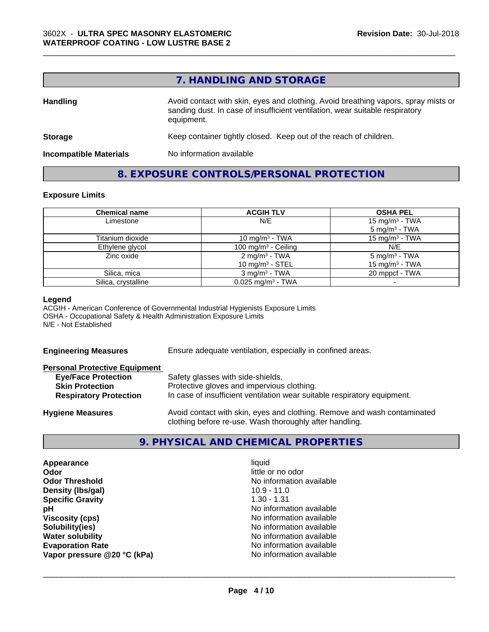## **7. HANDLING AND STORAGE**

\_\_\_\_\_\_\_\_\_\_\_\_\_\_\_\_\_\_\_\_\_\_\_\_\_\_\_\_\_\_\_\_\_\_\_\_\_\_\_\_\_\_\_\_\_\_\_\_\_\_\_\_\_\_\_\_\_\_\_\_\_\_\_\_\_\_\_\_\_\_\_\_\_\_\_\_\_\_\_\_\_\_\_\_\_\_\_\_\_\_\_\_\_

| <b>Handling</b>               | Avoid contact with skin, eyes and clothing. Avoid breathing vapors, spray mists or<br>sanding dust. In case of insufficient ventilation, wear suitable respiratory<br>equipment. |
|-------------------------------|----------------------------------------------------------------------------------------------------------------------------------------------------------------------------------|
| <b>Storage</b>                | Keep container tightly closed. Keep out of the reach of children.                                                                                                                |
| <b>Incompatible Materials</b> | No information available                                                                                                                                                         |

# **8. EXPOSURE CONTROLS/PERSONAL PROTECTION**

#### **Exposure Limits**

| <b>Chemical name</b> | <b>ACGIH TLV</b>                                        | <b>OSHA PEL</b>                                         |
|----------------------|---------------------------------------------------------|---------------------------------------------------------|
| Limestone            | N/E                                                     | 15 mg/m <sup>3</sup> - TWA<br>$5 \text{ mg/m}^3$ - TWA  |
| Titanium dioxide     | 10 mg/m <sup>3</sup> - TWA                              | $15 \text{ mg/m}^3$ - TWA                               |
| Ethylene glycol      | 100 mg/m $3$ - Ceiling                                  | N/E                                                     |
| Zinc oxide           | $2 \text{ mq/m}^3$ - TWA<br>10 mg/m <sup>3</sup> - STEL | 5 mg/m <sup>3</sup> - TWA<br>15 mg/m <sup>3</sup> - TWA |
| Silica, mica         | $3$ mg/m <sup>3</sup> - TWA                             | 20 mppcf - TWA                                          |
| Silica, crystalline  | $0.025$ mg/m <sup>3</sup> - TWA                         |                                                         |

#### **Legend**

ACGIH - American Conference of Governmental Industrial Hygienists Exposure Limits OSHA - Occupational Safety & Health Administration Exposure Limits N/E - Not Established

**Engineering Measures** Ensure adequate ventilation, especially in confined areas.

| <b>Personal Protective Equipment</b> |                                                                          |
|--------------------------------------|--------------------------------------------------------------------------|
| <b>Eye/Face Protection</b>           | Safety glasses with side-shields.                                        |
| <b>Skin Protection</b>               | Protective gloves and impervious clothing.                               |
| <b>Respiratory Protection</b>        | In case of insufficient ventilation wear suitable respiratory equipment. |
| Hygiana Massuras                     | Avoid contact with skin eves and clothing. Remove and wash contaminated  |

**Hygiene Measures** Avoid contact with skin, eyes and clothing. Remove and wash contaminated clothing before re-use. Wash thoroughly after handling.

# **9. PHYSICAL AND CHEMICAL PROPERTIES**

**Appearance** liquid **Odor** little or no odor **Odor Threshold** No information available **Density (lbs/gal)** 10.9 - 11.0 **Specific Gravity** 1.30 - 1.31 **pH** No information available **Viscosity (cps)** No information available **Solubility(ies)**<br> **No information available**<br> **Water solubility**<br> **Water solubility Evaporation Rate** Note 2008 and 2009 Monomial Monomial No information available **Vapor pressure @20 °C (kPa)** No information available

**No information available**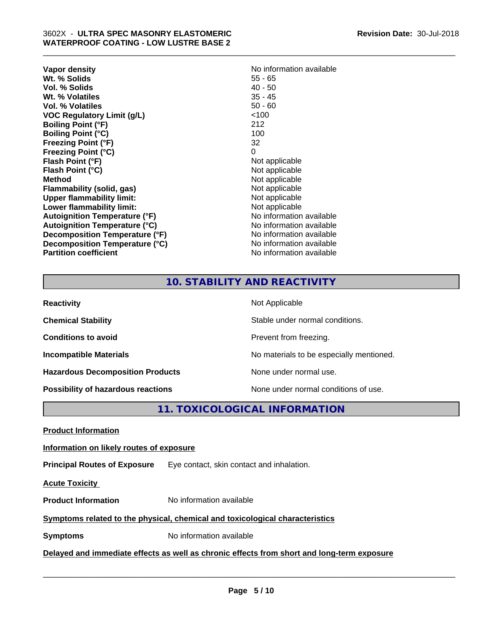| Vapor density<br>Wt. % Solids<br>Vol. % Solids<br>Wt. % Volatiles<br>Vol. % Volatiles<br><b>VOC Regulatory Limit (g/L)</b> | No information available<br>$55 - 65$<br>$40 - 50$<br>$35 - 45$<br>$50 - 60$<br><100 |
|----------------------------------------------------------------------------------------------------------------------------|--------------------------------------------------------------------------------------|
| <b>Boiling Point (°F)</b>                                                                                                  | 212                                                                                  |
| <b>Boiling Point (°C)</b>                                                                                                  | 100                                                                                  |
| <b>Freezing Point (°F)</b>                                                                                                 | 32                                                                                   |
| <b>Freezing Point (°C)</b>                                                                                                 | 0                                                                                    |
| Flash Point (°F)                                                                                                           | Not applicable                                                                       |
| Flash Point (°C)                                                                                                           | Not applicable                                                                       |
| <b>Method</b>                                                                                                              | Not applicable                                                                       |
| Flammability (solid, gas)                                                                                                  | Not applicable                                                                       |
| <b>Upper flammability limit:</b>                                                                                           | Not applicable                                                                       |
| Lower flammability limit:                                                                                                  | Not applicable                                                                       |
| <b>Autoignition Temperature (°F)</b>                                                                                       | No information available                                                             |
| <b>Autoignition Temperature (°C)</b>                                                                                       | No information available                                                             |
| Decomposition Temperature (°F)                                                                                             | No information available                                                             |
| Decomposition Temperature (°C)                                                                                             | No information available                                                             |
| <b>Partition coefficient</b>                                                                                               | No information available                                                             |

\_\_\_\_\_\_\_\_\_\_\_\_\_\_\_\_\_\_\_\_\_\_\_\_\_\_\_\_\_\_\_\_\_\_\_\_\_\_\_\_\_\_\_\_\_\_\_\_\_\_\_\_\_\_\_\_\_\_\_\_\_\_\_\_\_\_\_\_\_\_\_\_\_\_\_\_\_\_\_\_\_\_\_\_\_\_\_\_\_\_\_\_\_

# **10. STABILITY AND REACTIVITY**

| <b>Reactivity</b>                         | Not Applicable                           |
|-------------------------------------------|------------------------------------------|
| <b>Chemical Stability</b>                 | Stable under normal conditions.          |
| <b>Conditions to avoid</b>                | Prevent from freezing.                   |
| <b>Incompatible Materials</b>             | No materials to be especially mentioned. |
| <b>Hazardous Decomposition Products</b>   | None under normal use.                   |
| <b>Possibility of hazardous reactions</b> | None under normal conditions of use.     |

**11. TOXICOLOGICAL INFORMATION**

**Product Information**

# **Information on likely routes of exposure**

**Principal Routes of Exposure** Eye contact, skin contact and inhalation.

**Acute Toxicity** 

**Product Information** No information available

# **Symptoms related to the physical,chemical and toxicological characteristics**

**Symptoms** No information available

**Delayed and immediate effects as well as chronic effects from short and long-term exposure**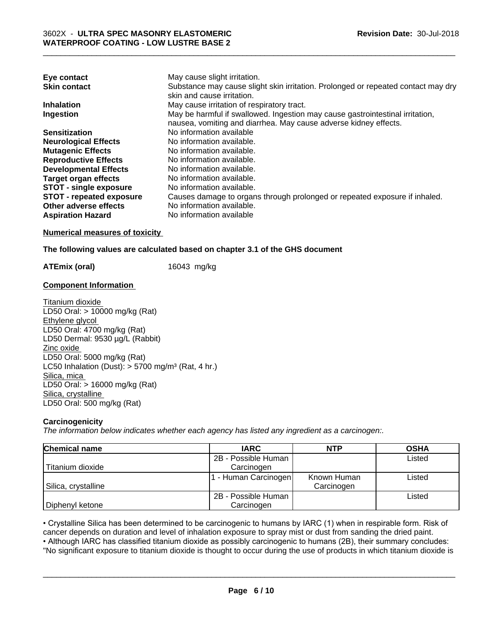| Eye contact                     | May cause slight irritation.                                                      |
|---------------------------------|-----------------------------------------------------------------------------------|
| <b>Skin contact</b>             | Substance may cause slight skin irritation. Prolonged or repeated contact may dry |
|                                 | skin and cause irritation.                                                        |
| <b>Inhalation</b>               | May cause irritation of respiratory tract.                                        |
| Ingestion                       | May be harmful if swallowed. Ingestion may cause gastrointestinal irritation,     |
|                                 | nausea, vomiting and diarrhea. May cause adverse kidney effects.                  |
| <b>Sensitization</b>            | No information available                                                          |
| <b>Neurological Effects</b>     | No information available.                                                         |
| <b>Mutagenic Effects</b>        | No information available.                                                         |
| <b>Reproductive Effects</b>     | No information available.                                                         |
| <b>Developmental Effects</b>    | No information available.                                                         |
| Target organ effects            | No information available.                                                         |
| <b>STOT - single exposure</b>   | No information available.                                                         |
| <b>STOT - repeated exposure</b> | Causes damage to organs through prolonged or repeated exposure if inhaled.        |
| Other adverse effects           | No information available.                                                         |
| <b>Aspiration Hazard</b>        | No information available                                                          |

# **Numerical measures of toxicity**

#### **The following values are calculated based on chapter 3.1 of the GHS document**

**ATEmix (oral)** 16043 mg/kg

## **Component Information**

Titanium dioxide LD50 Oral: > 10000 mg/kg (Rat) Ethylene glycol LD50 Oral: 4700 mg/kg (Rat) LD50 Dermal: 9530 µg/L (Rabbit) Zinc oxide LD50 Oral: 5000 mg/kg (Rat) LC50 Inhalation (Dust):  $> 5700$  mg/m<sup>3</sup> (Rat, 4 hr.) Silica, mica LD50 Oral: > 16000 mg/kg (Rat) Silica, crystalline LD50 Oral: 500 mg/kg (Rat)

## **Carcinogenicity**

*The information below indicateswhether each agency has listed any ingredient as a carcinogen:.*

| <b>Chemical name</b> | <b>IARC</b>         | <b>NTP</b>  | <b>OSHA</b> |
|----------------------|---------------------|-------------|-------------|
|                      | 2B - Possible Human |             | Listed      |
| Titanium dioxide     | Carcinogen          |             |             |
|                      | - Human Carcinogen  | Known Human | Listed      |
| Silica, crystalline  |                     | Carcinogen  |             |
|                      | 2B - Possible Human |             | Listed      |
| Diphenyl ketone      | Carcinogen          |             |             |

• Crystalline Silica has been determined to be carcinogenic to humans by IARC (1) when in respirable form. Risk of cancer depends on duration and level of inhalation exposure to spray mist or dust from sanding the dried pa cancer depends on duration and level of inhalation exposure to spray mist or dust from sanding the dried paint.

• Although IARC has classified titanium dioxide as possibly carcinogenic to humans (2B), their summary concludes: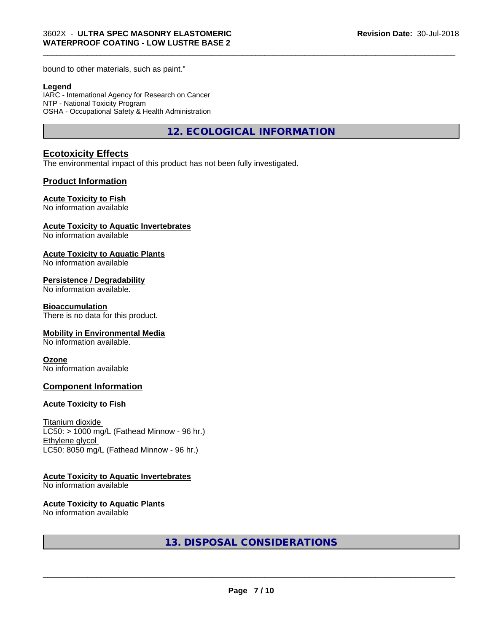bound to other materials, such as paint."

#### **Legend**

IARC - International Agency for Research on Cancer NTP - National Toxicity Program OSHA - Occupational Safety & Health Administration

**12. ECOLOGICAL INFORMATION**

\_\_\_\_\_\_\_\_\_\_\_\_\_\_\_\_\_\_\_\_\_\_\_\_\_\_\_\_\_\_\_\_\_\_\_\_\_\_\_\_\_\_\_\_\_\_\_\_\_\_\_\_\_\_\_\_\_\_\_\_\_\_\_\_\_\_\_\_\_\_\_\_\_\_\_\_\_\_\_\_\_\_\_\_\_\_\_\_\_\_\_\_\_

# **Ecotoxicity Effects**

The environmental impact of this product has not been fully investigated.

#### **Product Information**

#### **Acute Toxicity to Fish**

No information available

#### **Acute Toxicity to Aquatic Invertebrates**

No information available

#### **Acute Toxicity to Aquatic Plants**

No information available

#### **Persistence / Degradability**

No information available.

#### **Bioaccumulation**

There is no data for this product.

#### **Mobility in Environmental Media**

No information available.

#### **Ozone**

No information available

### **Component Information**

#### **Acute Toxicity to Fish**

Titanium dioxide  $LC50:$  > 1000 mg/L (Fathead Minnow - 96 hr.) Ethylene glycol LC50: 8050 mg/L (Fathead Minnow - 96 hr.)

#### **Acute Toxicity to Aquatic Invertebrates**

No information available

#### **Acute Toxicity to Aquatic Plants**

No information available

**13. DISPOSAL CONSIDERATIONS**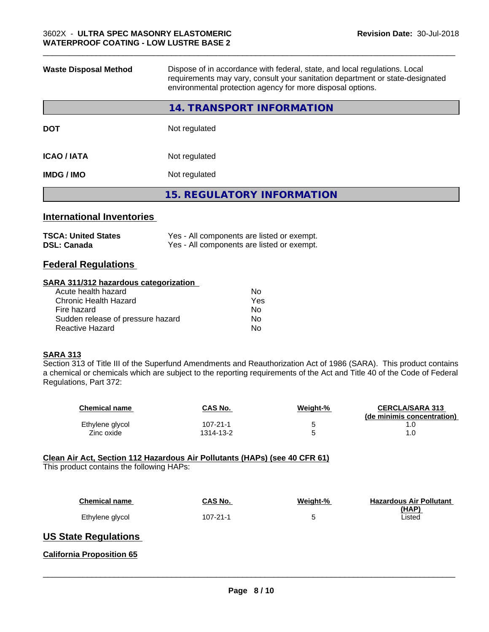| <b>Waste Disposal Method</b> | Dispose of in accordance with federal, state, and local regulations. Local<br>requirements may vary, consult your sanitation department or state-designated<br>environmental protection agency for more disposal options. |  |
|------------------------------|---------------------------------------------------------------------------------------------------------------------------------------------------------------------------------------------------------------------------|--|
|                              | <b>14. TRANSPORT INFORMATION</b>                                                                                                                                                                                          |  |
| <b>DOT</b>                   | Not regulated                                                                                                                                                                                                             |  |
| <b>ICAO / IATA</b>           | Not regulated                                                                                                                                                                                                             |  |
| <b>IMDG/IMO</b>              | Not regulated                                                                                                                                                                                                             |  |
|                              | <b>15. REGULATORY INFORMATION</b>                                                                                                                                                                                         |  |
|                              |                                                                                                                                                                                                                           |  |

# **International Inventories**

| <b>TSCA: United States</b> | Yes - All components are listed or exempt. |
|----------------------------|--------------------------------------------|
| <b>DSL: Canada</b>         | Yes - All components are listed or exempt. |

# **Federal Regulations**

#### **SARA 311/312 hazardous categorization**

| No. |
|-----|
| Yes |
| No. |
| Nο  |
| N٥  |
|     |

#### **SARA 313**

Section 313 of Title III of the Superfund Amendments and Reauthorization Act of 1986 (SARA). This product contains a chemical or chemicals which are subject to the reporting requirements of the Act and Title 40 of the Code of Federal Regulations, Part 372:

| <b>Chemical name</b> | CAS No.   | Weight-% | <b>CERCLA/SARA 313</b><br>(de minimis concentration) |
|----------------------|-----------|----------|------------------------------------------------------|
| Ethylene glycol      | 107-21-1  |          |                                                      |
| Zinc oxide           | 1314-13-2 |          |                                                      |

### **Clean Air Act,Section 112 Hazardous Air Pollutants (HAPs) (see 40 CFR 61)**

This product contains the following HAPs:

| <b>Chemical name</b> | CAS No.  | Weight-% | <b>Hazardous Air Pollutant</b><br>(HAP) |
|----------------------|----------|----------|-----------------------------------------|
| Ethylene glycol      | 107-21-1 |          | Listed                                  |

# **US State Regulations**

### **California Proposition 65**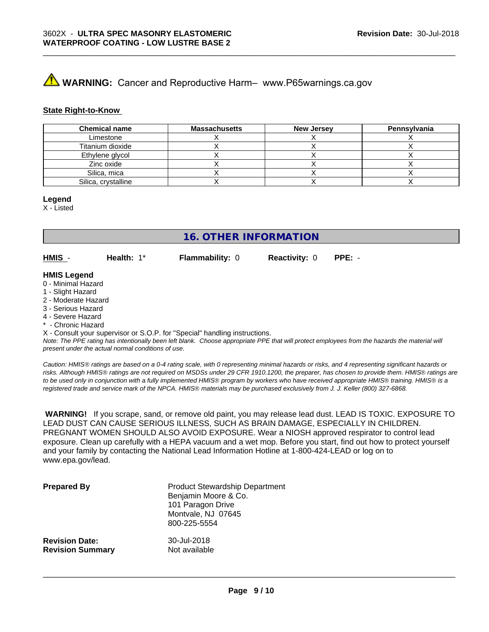# **A** WARNING: Cancer and Reproductive Harm– www.P65warnings.ca.gov

#### **State Right-to-Know**

| <b>Chemical name</b> | <b>Massachusetts</b> | <b>New Jersey</b> | Pennsylvania |
|----------------------|----------------------|-------------------|--------------|
| Limestone            |                      |                   |              |
| Titanium dioxide     |                      |                   |              |
| Ethylene glycol      |                      |                   |              |
| Zinc oxide           |                      |                   |              |
| Silica, mica         |                      |                   |              |
| Silica, crystalline  |                      |                   |              |

\_\_\_\_\_\_\_\_\_\_\_\_\_\_\_\_\_\_\_\_\_\_\_\_\_\_\_\_\_\_\_\_\_\_\_\_\_\_\_\_\_\_\_\_\_\_\_\_\_\_\_\_\_\_\_\_\_\_\_\_\_\_\_\_\_\_\_\_\_\_\_\_\_\_\_\_\_\_\_\_\_\_\_\_\_\_\_\_\_\_\_\_\_

#### **Legend**

X - Listed

**16. OTHER INFORMATION**

**HMIS** - **Health:** 1\* **Flammability:** 0 **Reactivity:** 0 **PPE:** -

#### **HMIS Legend**

- 0 Minimal Hazard
- 1 Slight Hazard
- 2 Moderate Hazard
- 3 Serious Hazard
- 4 Severe Hazard
- Chronic Hazard

X - Consult your supervisor or S.O.P. for "Special" handling instructions.

*Note: The PPE rating has intentionally been left blank. Choose appropriate PPE that will protect employees from the hazards the material will present under the actual normal conditions of use.*

*Caution: HMISÒ ratings are based on a 0-4 rating scale, with 0 representing minimal hazards or risks, and 4 representing significant hazards or risks. Although HMISÒ ratings are not required on MSDSs under 29 CFR 1910.1200, the preparer, has chosen to provide them. HMISÒ ratings are to be used only in conjunction with a fully implemented HMISÒ program by workers who have received appropriate HMISÒ training. HMISÒ is a registered trade and service mark of the NPCA. HMISÒ materials may be purchased exclusively from J. J. Keller (800) 327-6868.*

 **WARNING!** If you scrape, sand, or remove old paint, you may release lead dust. LEAD IS TOXIC. EXPOSURE TO LEAD DUST CAN CAUSE SERIOUS ILLNESS, SUCH AS BRAIN DAMAGE, ESPECIALLY IN CHILDREN. PREGNANT WOMEN SHOULD ALSO AVOID EXPOSURE.Wear a NIOSH approved respirator to control lead exposure. Clean up carefully with a HEPA vacuum and a wet mop. Before you start, find out how to protect yourself and your family by contacting the National Lead Information Hotline at 1-800-424-LEAD or log on to www.epa.gov/lead.

| <b>Prepared By</b>      | <b>Product Stewardship Department</b><br>Benjamin Moore & Co.<br>101 Paragon Drive<br>Montvale, NJ 07645<br>800-225-5554 |
|-------------------------|--------------------------------------------------------------------------------------------------------------------------|
| <b>Revision Date:</b>   | 30-Jul-2018                                                                                                              |
| <b>Revision Summary</b> | Not available                                                                                                            |